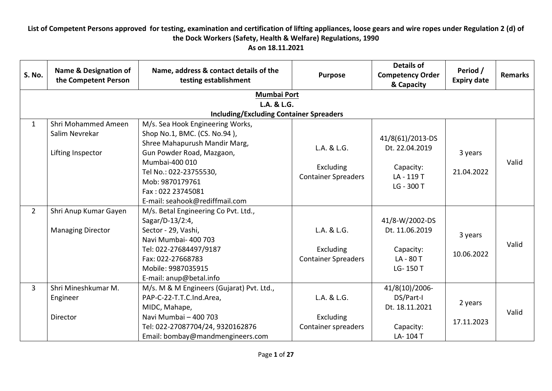| <b>S. No.</b>  | <b>Name &amp; Designation of</b><br>the Competent Person   | Name, address & contact details of the<br>testing establishment                                                                                                                                        | <b>Purpose</b>                                                                | <b>Details of</b><br><b>Competency Order</b><br>& Capacity             | Period /<br><b>Expiry date</b> | <b>Remarks</b> |
|----------------|------------------------------------------------------------|--------------------------------------------------------------------------------------------------------------------------------------------------------------------------------------------------------|-------------------------------------------------------------------------------|------------------------------------------------------------------------|--------------------------------|----------------|
|                |                                                            | <b>Mumbai Port</b>                                                                                                                                                                                     |                                                                               |                                                                        |                                |                |
|                |                                                            | L.A. & L.G.                                                                                                                                                                                            |                                                                               |                                                                        |                                |                |
|                |                                                            | <b>Including/Excluding Container Spreaders</b>                                                                                                                                                         |                                                                               |                                                                        |                                |                |
| $\mathbf{1}$   | Shri Mohammed Ameen<br>Salim Nevrekar<br>Lifting Inspector | M/s. Sea Hook Engineering Works,<br>Shop No.1, BMC. (CS. No.94),<br>Shree Mahapurush Mandir Marg,<br>Gun Powder Road, Mazgaon,                                                                         | L.A. & L.G.                                                                   | 41/8(61)/2013-DS<br>Dt. 22.04.2019                                     | 3 years                        |                |
|                |                                                            | Mumbai-400 010<br>Tel No.: 022-23755530,<br>Mob: 9870179761<br>Fax: 022 23745081<br>E-mail: seahook@rediffmail.com                                                                                     | Excluding<br>Capacity:<br><b>Container Spreaders</b><br>LA-119T<br>LG - 300 T |                                                                        | 21.04.2022                     | Valid          |
| $\overline{2}$ | Shri Anup Kumar Gayen<br><b>Managing Director</b>          | M/s. Betal Engineering Co Pvt. Ltd.,<br>Sagar/D-13/2:4,<br>Sector - 29, Vashi,<br>Navi Mumbai- 400 703<br>Tel: 022-27684497/9187<br>Fax: 022-27668783<br>Mobile: 9987035915<br>E-mail: anup@betal.info | L.A. & L.G.<br><b>Excluding</b><br><b>Container Spreaders</b>                 | 41/8-W/2002-DS<br>Dt. 11.06.2019<br>Capacity:<br>LA-80T<br>LG-150 T    | 3 years<br>10.06.2022          | Valid          |
| $\overline{3}$ | Shri Mineshkumar M.<br>Engineer<br>Director                | M/s. M & M Engineers (Gujarat) Pvt. Ltd.,<br>PAP-C-22-T.T.C.Ind.Area,<br>MIDC, Mahape,<br>Navi Mumbai - 400 703<br>Tel: 022-27087704/24, 9320162876<br>Email: bombay@mandmengineers.com                | L.A. & L.G.<br><b>Excluding</b><br>Container spreaders                        | 41/8(10)/2006-<br>DS/Part-I<br>Dt. 18.11.2021<br>Capacity:<br>LA-104 T | 2 years<br>17.11.2023          | Valid          |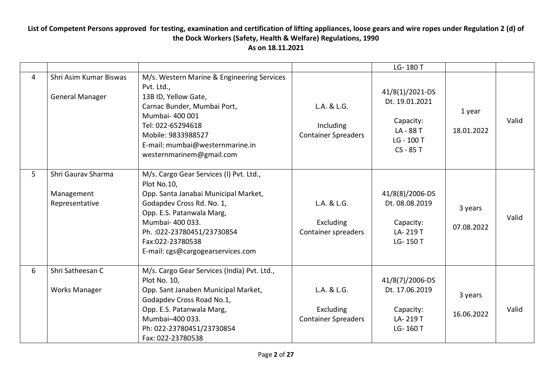|   |                                                    |                                                                                                                                                                                                                                                                      |                                                               | LG-180 T                                                                            |                       |       |
|---|----------------------------------------------------|----------------------------------------------------------------------------------------------------------------------------------------------------------------------------------------------------------------------------------------------------------------------|---------------------------------------------------------------|-------------------------------------------------------------------------------------|-----------------------|-------|
| 4 | Shri Asim Kumar Biswas<br><b>General Manager</b>   | M/s. Western Marine & Engineering Services<br>Pvt. Ltd.,<br>13B ID, Yellow Gate,<br>Carnac Bunder, Mumbai Port,<br>Mumbai- 400 001<br>Tel: 022-65294618<br>Mobile: 9833988527<br>E-mail: mumbai@westernmarine.in<br>westernmarinem@gmail.com                         | L.A. & L.G.<br>Including<br><b>Container Spreaders</b>        | 41/8(1)/2021-DS<br>Dt. 19.01.2021<br>Capacity:<br>LA-88T<br>LG - 100 T<br>CS - 85 T | 1 year<br>18.01.2022  | Valid |
| 5 | Shri Gauray Sharma<br>Management<br>Representative | M/s. Cargo Gear Services (I) Pvt. Ltd.,<br>Plot No.10,<br>Opp. Santa Janabai Municipal Market,<br>Godapdev Cross Rd. No. 1,<br>Opp. E.S. Patanwala Marg,<br>Mumbai- 400 033.<br>Ph. : 022-23780451/23730854<br>Fax:022-23780538<br>E-mail: cgs@cargogearservices.com | L.A. & L.G.<br><b>Excluding</b><br>Container spreaders        | 41/8(8)/2006-DS<br>Dt. 08.08.2019<br>Capacity:<br>LA-219T<br>LG-150 T               | 3 years<br>07.08.2022 | Valid |
| 6 | Shri Satheesan C<br><b>Works Manager</b>           | M/s. Cargo Gear Services (India) Pvt. Ltd.,<br>Plot No. 10,<br>Opp. Sant Janaben Municipal Market,<br>Godapdev Cross Road No.1,<br>Opp. E.S. Patanwala Marg,<br>Mumbai-400 033.<br>Ph: 022-23780451/23730854<br>Fax: 022-23780538                                    | L.A. & L.G.<br><b>Excluding</b><br><b>Container Spreaders</b> | 41/8(7)/2006-DS<br>Dt. 17.06.2019<br>Capacity:<br>LA-219T<br>LG-160 T               | 3 years<br>16.06.2022 | Valid |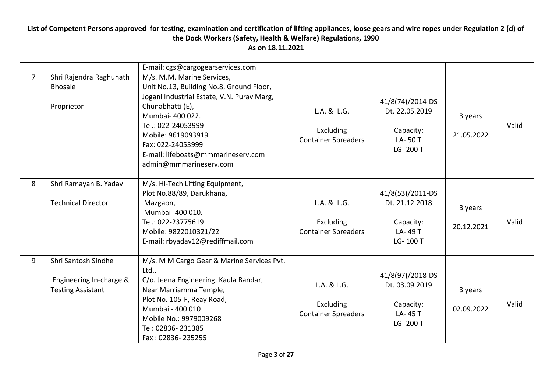|                |                                                                            | E-mail: cgs@cargogearservices.com                                                                                                                                                                                                                                                             |                                                        |                                                                        |                       |       |
|----------------|----------------------------------------------------------------------------|-----------------------------------------------------------------------------------------------------------------------------------------------------------------------------------------------------------------------------------------------------------------------------------------------|--------------------------------------------------------|------------------------------------------------------------------------|-----------------------|-------|
| $\overline{7}$ | Shri Rajendra Raghunath<br><b>Bhosale</b><br>Proprietor                    | M/s. M.M. Marine Services,<br>Unit No.13, Building No.8, Ground Floor,<br>Jogani Industrial Estate, V.N. Purav Marg,<br>Chunabhatti (E),<br>Mumbai- 400 022.<br>Tel.: 022-24053999<br>Mobile: 9619093919<br>Fax: 022-24053999<br>E-mail: lifeboats@mmmarineserv.com<br>admin@mmmarineserv.com | L.A. & L.G.<br>Excluding<br><b>Container Spreaders</b> | 41/8(74)/2014-DS<br>Dt. 22.05.2019<br>Capacity:<br>LA-50T<br>LG-200 T  | 3 years<br>21.05.2022 | Valid |
| 8              | Shri Ramayan B. Yadav<br><b>Technical Director</b>                         | M/s. Hi-Tech Lifting Equipment,<br>Plot No.88/89, Darukhana,<br>Mazgaon,<br>Mumbai- 400 010.<br>Tel.: 022-23775619<br>Mobile: 9822010321/22<br>E-mail: rbyadav12@rediffmail.com                                                                                                               | L.A. & L.G.<br>Excluding<br><b>Container Spreaders</b> | 41/8(53)/2011-DS<br>Dt. 21.12.2018<br>Capacity:<br>LA-49 T<br>LG-100 T | 3 years<br>20.12.2021 | Valid |
| 9              | Shri Santosh Sindhe<br>Engineering In-charge &<br><b>Testing Assistant</b> | M/s. M M Cargo Gear & Marine Services Pvt.<br>Ltd.,<br>C/o. Jeena Engineering, Kaula Bandar,<br>Near Marriamma Temple,<br>Plot No. 105-F, Reay Road,<br>Mumbai - 400 010<br>Mobile No.: 9979009268<br>Tel: 02836-231385<br>Fax: 02836-235255                                                  | L.A. & L.G.<br>Excluding<br><b>Container Spreaders</b> | 41/8(97)/2018-DS<br>Dt. 03.09.2019<br>Capacity:<br>LA-45 T<br>LG-200 T | 3 years<br>02.09.2022 | Valid |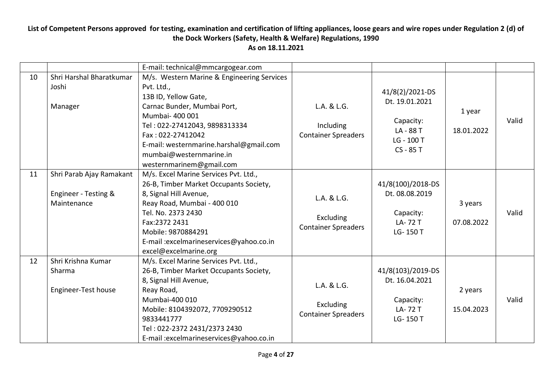|    |                                                                 | E-mail: technical@mmcargogear.com                                                                                                                                                                                                                                                          |                                                               |                                                                                     |                       |       |
|----|-----------------------------------------------------------------|--------------------------------------------------------------------------------------------------------------------------------------------------------------------------------------------------------------------------------------------------------------------------------------------|---------------------------------------------------------------|-------------------------------------------------------------------------------------|-----------------------|-------|
| 10 | Shri Harshal Bharatkumar<br>Joshi<br>Manager                    | M/s. Western Marine & Engineering Services<br>Pvt. Ltd.,<br>13B ID, Yellow Gate,<br>Carnac Bunder, Mumbai Port,<br>Mumbai- 400 001<br>Tel: 022-27412043, 9898313334<br>Fax: 022-27412042<br>E-mail: westernmarine.harshal@gmail.com<br>mumbai@westernmarine.in<br>westernmarinem@gmail.com | L.A. & L.G.<br>Including<br><b>Container Spreaders</b>        | 41/8(2)/2021-DS<br>Dt. 19.01.2021<br>Capacity:<br>LA-88T<br>LG - 100 T<br>CS - 85 T | 1 year<br>18.01.2022  | Valid |
| 11 | Shri Parab Ajay Ramakant<br>Engineer - Testing &<br>Maintenance | M/s. Excel Marine Services Pvt. Ltd.,<br>26-B, Timber Market Occupants Society,<br>8, Signal Hill Avenue,<br>Reay Road, Mumbai - 400 010<br>Tel. No. 2373 2430<br>Fax:2372 2431<br>Mobile: 9870884291<br>E-mail : excelmarines ervices@yahoo.co.in<br>excel@excelmarine.org                | L.A. & L.G.<br>Excluding<br><b>Container Spreaders</b>        | 41/8(100)/2018-DS<br>Dt. 08.08.2019<br>Capacity:<br>LA-72 T<br>LG-150 T             | 3 years<br>07.08.2022 | Valid |
| 12 | Shri Krishna Kumar<br>Sharma<br>Engineer-Test house             | M/s. Excel Marine Services Pvt. Ltd.,<br>26-B, Timber Market Occupants Society,<br>8, Signal Hill Avenue,<br>Reay Road,<br>Mumbai-400 010<br>Mobile: 8104392072, 7709290512<br>9833441777<br>Tel: 022-2372 2431/2373 2430<br>E-mail: excelmarineservices@yahoo.co.in                       | L.A. & L.G.<br><b>Excluding</b><br><b>Container Spreaders</b> | 41/8(103)/2019-DS<br>Dt. 16.04.2021<br>Capacity:<br>LA-72 T<br>LG-150 T             | 2 years<br>15.04.2023 | Valid |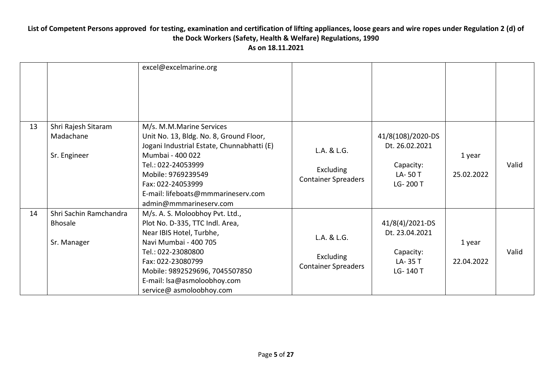|    |                                                         | excel@excelmarine.org                                                                                                                                                                                                                                                  |                                                               |                                                                        |                      |       |
|----|---------------------------------------------------------|------------------------------------------------------------------------------------------------------------------------------------------------------------------------------------------------------------------------------------------------------------------------|---------------------------------------------------------------|------------------------------------------------------------------------|----------------------|-------|
| 13 | Shri Rajesh Sitaram<br>Madachane<br>Sr. Engineer        | M/s. M.M.Marine Services<br>Unit No. 13, Bldg. No. 8, Ground Floor,<br>Jogani Industrial Estate, Chunnabhatti (E)<br>Mumbai - 400 022<br>Tel.: 022-24053999<br>Mobile: 9769239549<br>Fax: 022-24053999<br>E-mail: lifeboats@mmmarineserv.com<br>admin@mmmarineserv.com | L.A. & L.G.<br><b>Excluding</b><br><b>Container Spreaders</b> | 41/8(108)/2020-DS<br>Dt. 26.02.2021<br>Capacity:<br>LA-50T<br>LG-200 T | 1 year<br>25.02.2022 | Valid |
| 14 | Shri Sachin Ramchandra<br><b>Bhosale</b><br>Sr. Manager | M/s. A. S. Moloobhoy Pvt. Ltd.,<br>Plot No. D-335, TTC Indl. Area,<br>Near IBIS Hotel, Turbhe,<br>Navi Mumbai - 400 705<br>Tel.: 022-23080800<br>Fax: 022-23080799<br>Mobile: 9892529696, 7045507850<br>E-mail: Isa@asmoloobhoy.com<br>service@ asmoloobhoy.com        | L.A. & L.G.<br><b>Excluding</b><br><b>Container Spreaders</b> | 41/8(4)/2021-DS<br>Dt. 23.04.2021<br>Capacity:<br>LA-35 T<br>LG-140 T  | 1 year<br>22.04.2022 | Valid |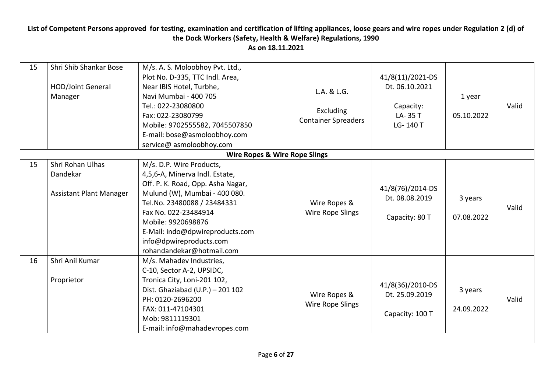| 15 | Shri Shib Shankar Bose<br>HOD/Joint General<br>Manager         | M/s. A. S. Moloobhoy Pvt. Ltd.,<br>Plot No. D-335, TTC Indl. Area,<br>Near IBIS Hotel, Turbhe,<br>Navi Mumbai - 400 705<br>Tel.: 022-23080800<br>Fax: 022-23080799<br>Mobile: 9702555582, 7045507850<br>E-mail: bose@asmoloobhoy.com                                                                     | L.A. & L.G.<br>Excluding<br><b>Container Spreaders</b> | 41/8(11)/2021-DS<br>Dt. 06.10.2021<br>Capacity:<br>LA-35 T<br>LG-140 T | 1 year<br>05.10.2022  | Valid |  |  |  |  |
|----|----------------------------------------------------------------|----------------------------------------------------------------------------------------------------------------------------------------------------------------------------------------------------------------------------------------------------------------------------------------------------------|--------------------------------------------------------|------------------------------------------------------------------------|-----------------------|-------|--|--|--|--|
|    |                                                                | service@ asmoloobhoy.com                                                                                                                                                                                                                                                                                 |                                                        |                                                                        |                       |       |  |  |  |  |
|    | <b>Wire Ropes &amp; Wire Rope Slings</b>                       |                                                                                                                                                                                                                                                                                                          |                                                        |                                                                        |                       |       |  |  |  |  |
| 15 | Shri Rohan Ulhas<br>Dandekar<br><b>Assistant Plant Manager</b> | M/s. D.P. Wire Products,<br>4,5,6-A, Minerva Indl. Estate,<br>Off. P. K. Road, Opp. Asha Nagar,<br>Mulund (W), Mumbai - 400 080.<br>Tel.No. 23480088 / 23484331<br>Fax No. 022-23484914<br>Mobile: 9920698876<br>E-Mail: indo@dpwireproducts.com<br>info@dpwireproducts.com<br>rohandandekar@hotmail.com | Wire Ropes &<br>Wire Rope Slings                       | 41/8(76)/2014-DS<br>Dt. 08.08.2019<br>Capacity: 80 T                   | 3 years<br>07.08.2022 | Valid |  |  |  |  |
| 16 | Shri Anil Kumar<br>Proprietor                                  | M/s. Mahadev Industries,<br>C-10, Sector A-2, UPSIDC,<br>Tronica City, Loni-201 102,<br>Dist. Ghaziabad (U.P.) - 201 102<br>PH: 0120-2696200<br>FAX: 011-47104301<br>Mob: 9811119301<br>E-mail: info@mahadevropes.com                                                                                    | Wire Ropes &<br>Wire Rope Slings                       | 41/8(36)/2010-DS<br>Dt. 25.09.2019<br>Capacity: 100 T                  | 3 years<br>24.09.2022 | Valid |  |  |  |  |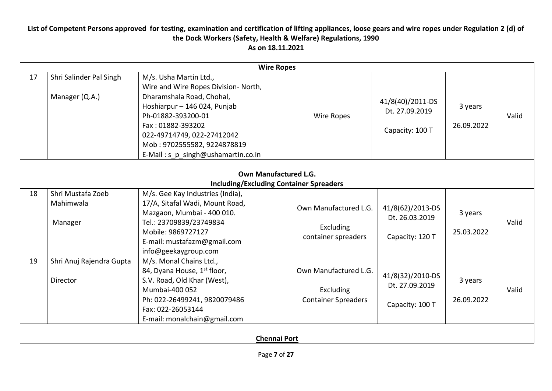|    | <b>Wire Ropes</b>                                                       |                                                                                                                                                                                                                                                                           |                                                                  |                                                       |                       |       |  |  |  |
|----|-------------------------------------------------------------------------|---------------------------------------------------------------------------------------------------------------------------------------------------------------------------------------------------------------------------------------------------------------------------|------------------------------------------------------------------|-------------------------------------------------------|-----------------------|-------|--|--|--|
| 17 | Shri Salinder Pal Singh<br>Manager (Q.A.)                               | M/s. Usha Martin Ltd.,<br>Wire and Wire Ropes Division- North,<br>Dharamshala Road, Chohal,<br>Hoshiarpur - 146 024, Punjab<br>Ph-01882-393200-01<br>Fax: 01882-393202<br>022-49714749, 022-27412042<br>Mob: 9702555582, 9224878819<br>E-Mail: s_p_singh@ushamartin.co.in | Wire Ropes                                                       | 41/8(40)/2011-DS<br>Dt. 27.09.2019<br>Capacity: 100 T | 3 years<br>26.09.2022 | Valid |  |  |  |
|    | Own Manufactured L.G.<br><b>Including/Excluding Container Spreaders</b> |                                                                                                                                                                                                                                                                           |                                                                  |                                                       |                       |       |  |  |  |
| 18 | Shri Mustafa Zoeb<br>Mahimwala<br>Manager                               | M/s. Gee Kay Industries (India),<br>17/A, Sitafal Wadi, Mount Road,<br>Mazgaon, Mumbai - 400 010.<br>Tel.: 23709839/23749834<br>Mobile: 9869727127<br>E-mail: mustafazm@gmail.com<br>info@geekaygroup.com                                                                 | Own Manufactured L.G.<br>Excluding<br>container spreaders        | 41/8(62)/2013-DS<br>Dt. 26.03.2019<br>Capacity: 120 T | 3 years<br>25.03.2022 | Valid |  |  |  |
| 19 | Shri Anuj Rajendra Gupta<br>Director                                    | M/s. Monal Chains Ltd.,<br>84, Dyana House, 1 <sup>st</sup> floor,<br>S.V. Road, Old Khar (West),<br>Mumbai-400 052<br>Ph: 022-26499241, 9820079486<br>Fax: 022-26053144<br>E-mail: monalchain@gmail.com                                                                  | Own Manufactured L.G.<br>Excluding<br><b>Container Spreaders</b> | 41/8(32)/2010-DS<br>Dt. 27.09.2019<br>Capacity: 100 T | 3 years<br>26.09.2022 | Valid |  |  |  |
|    |                                                                         | <b>Chennai Port</b>                                                                                                                                                                                                                                                       |                                                                  |                                                       |                       |       |  |  |  |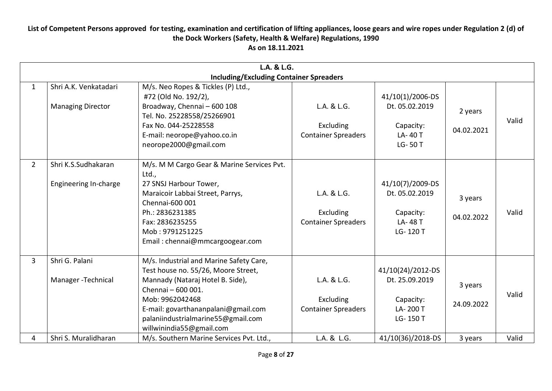|                | L.A. & L.G.                                       |                                                                                                                                                                                                                                                                      |                                                        |                                                                          |                       |       |  |  |
|----------------|---------------------------------------------------|----------------------------------------------------------------------------------------------------------------------------------------------------------------------------------------------------------------------------------------------------------------------|--------------------------------------------------------|--------------------------------------------------------------------------|-----------------------|-------|--|--|
| $\mathbf{1}$   | Shri A.K. Venkatadari<br><b>Managing Director</b> | <b>Including/Excluding Container Spreaders</b><br>M/s. Neo Ropes & Tickles (P) Ltd.,<br>#72 (Old No. 192/2),<br>Broadway, Chennai - 600 108<br>Tel. No. 25228558/25266901<br>Fax No. 044-25228558<br>E-mail: neorope@yahoo.co.in<br>neorope2000@gmail.com            | L.A. & L.G.<br>Excluding<br><b>Container Spreaders</b> | 41/10(1)/2006-DS<br>Dt. 05.02.2019<br>Capacity:<br>LA-40 T<br>LG-50T     | 2 years<br>04.02.2021 | Valid |  |  |
| $\overline{2}$ | Shri K.S.Sudhakaran<br>Engineering In-charge      | M/s. M M Cargo Gear & Marine Services Pvt.<br>Ltd.,<br>27 SNSJ Harbour Tower,<br>Maraicoir Labbai Street, Parrys,<br>Chennai-600 001<br>Ph.: 2836231385<br>Fax: 2836235255<br>Mob: 9791251225<br>Email: chennai@mmcargoogear.com                                     | L.A. & L.G.<br>Excluding<br><b>Container Spreaders</b> | 41/10(7)/2009-DS<br>Dt. 05.02.2019<br>Capacity:<br>LA-48 T<br>LG-120 T   | 3 years<br>04.02.2022 | Valid |  |  |
| $\overline{3}$ | Shri G. Palani<br>Manager - Technical             | M/s. Industrial and Marine Safety Care,<br>Test house no. 55/26, Moore Street,<br>Mannady (Nataraj Hotel B. Side),<br>Chennai - 600 001.<br>Mob: 9962042468<br>E-mail: govarthananpalani@gmail.com<br>palaniindustrialmarine55@gmail.com<br>willwinindia55@gmail.com | L.A. & L.G.<br>Excluding<br><b>Container Spreaders</b> | 41/10(24)/2012-DS<br>Dt. 25.09.2019<br>Capacity:<br>LA-200 T<br>LG-150 T | 3 years<br>24.09.2022 | Valid |  |  |
| 4              | Shri S. Muralidharan                              | M/s. Southern Marine Services Pvt. Ltd.,                                                                                                                                                                                                                             | L.A. & L.G.                                            | 41/10(36)/2018-DS                                                        | 3 years               | Valid |  |  |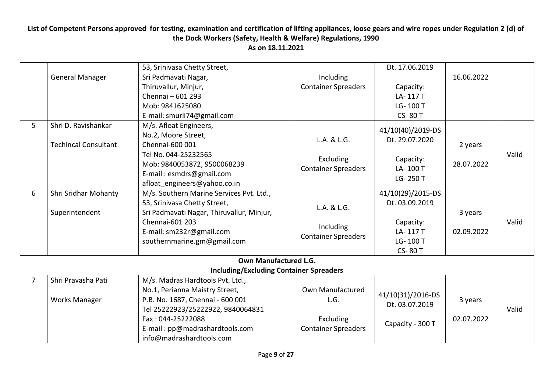|                | <b>General Manager</b>                             | 53, Srinivasa Chetty Street,<br>Sri Padmavati Nagar,<br>Thiruvallur, Minjur,<br>Chennai - 601 293<br>Mob: 9841625080<br>E-mail: smurli74@gmail.com                                                  | Including<br><b>Container Spreaders</b>                | Dt. 17.06.2019<br>Capacity:<br>LA-117T<br>LG-100 T<br><b>CS-80 T</b>                      | 16.06.2022            |       |
|----------------|----------------------------------------------------|-----------------------------------------------------------------------------------------------------------------------------------------------------------------------------------------------------|--------------------------------------------------------|-------------------------------------------------------------------------------------------|-----------------------|-------|
| 5              | Shri D. Ravishankar<br><b>Techincal Consultant</b> | M/s. Afloat Engineers,<br>No.2, Moore Street,<br>Chennai-600 001<br>Tel No. 044-25232565<br>Mob: 9840053872, 9500068239<br>E-mail: esmdrs@gmail.com<br>afloat engineers@yahoo.co.in                 | L.A. & L.G.<br>Excluding<br><b>Container Spreaders</b> | 41/10(40)/2019-DS<br>Dt. 29.07.2020<br>Capacity:<br>LA-100 T<br>LG-250 T                  | 2 years<br>28.07.2022 | Valid |
| 6              | Shri Sridhar Mohanty<br>Superintendent             | M/s. Southern Marine Services Pvt. Ltd.,<br>53, Srinivasa Chetty Street,<br>Sri Padmavati Nagar, Thiruvallur, Minjur,<br>Chennai-601 203<br>E-mail: sm232r@gmail.com<br>southernmarine.gm@gmail.com | L.A. & L.G.<br>Including<br><b>Container Spreaders</b> | 41/10(29)/2015-DS<br>Dt. 03.09.2019<br>Capacity:<br>LA-117T<br>LG-100 T<br><b>CS-80 T</b> | 3 years<br>02.09.2022 | Valid |
|                |                                                    | Own Manufactured L.G.                                                                                                                                                                               |                                                        |                                                                                           |                       |       |
|                |                                                    | <b>Including/Excluding Container Spreaders</b>                                                                                                                                                      |                                                        |                                                                                           |                       |       |
| $\overline{7}$ | Shri Pravasha Pati<br><b>Works Manager</b>         | M/s. Madras Hardtools Pvt. Ltd.,<br>No.1, Perianna Maistry Street,<br>P.B. No. 1687, Chennai - 600 001<br>Tel 25222923/25222922, 9840064831                                                         | Own Manufactured<br>L.G.                               | 41/10(31)/2016-DS<br>Dt. 03.07.2019                                                       | 3 years               | Valid |
|                |                                                    | Fax: 044-25222088<br>E-mail: pp@madrashardtools.com<br>info@madrashardtools.com                                                                                                                     | Excluding<br><b>Container Spreaders</b>                | Capacity - 300 T                                                                          | 02.07.2022            |       |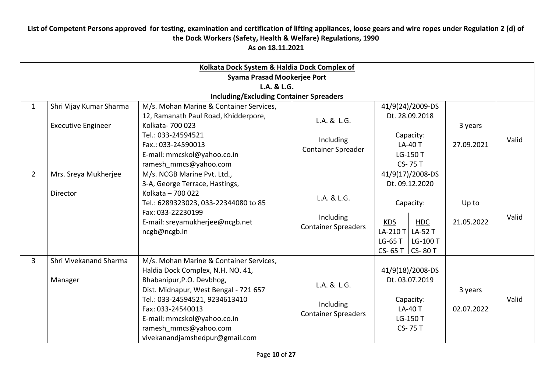|                |                                                               | Kolkata Dock System & Haldia Dock Complex of                                                                                                                                                                                                                                                        |                                                        |                                                                                                                                                              |                       |       |  |  |  |  |
|----------------|---------------------------------------------------------------|-----------------------------------------------------------------------------------------------------------------------------------------------------------------------------------------------------------------------------------------------------------------------------------------------------|--------------------------------------------------------|--------------------------------------------------------------------------------------------------------------------------------------------------------------|-----------------------|-------|--|--|--|--|
|                | Syama Prasad Mookerjee Port                                   |                                                                                                                                                                                                                                                                                                     |                                                        |                                                                                                                                                              |                       |       |  |  |  |  |
|                | L.A. & L.G.<br><b>Including/Excluding Container Spreaders</b> |                                                                                                                                                                                                                                                                                                     |                                                        |                                                                                                                                                              |                       |       |  |  |  |  |
| $\mathbf{1}$   | Shri Vijay Kumar Sharma<br><b>Executive Engineer</b>          | M/s. Mohan Marine & Container Services,<br>12, Ramanath Paul Road, Khidderpore,<br>Kolkata- 700 023<br>Tel.: 033-24594521<br>Fax.: 033-24590013<br>E-mail: mmcskol@yahoo.co.in                                                                                                                      | L.A. & L.G.<br>Including<br><b>Container Spreader</b>  | 41/9(24)/2009-DS<br>Dt. 28.09.2018<br>Capacity:<br><b>LA-40 T</b><br>LG-150 T                                                                                | 3 years<br>27.09.2021 | Valid |  |  |  |  |
| $\overline{2}$ | Mrs. Sreya Mukherjee<br>Director                              | ramesh mmcs@yahoo.com<br>M/s. NCGB Marine Pvt. Ltd.,<br>3-A, George Terrace, Hastings,<br>Kolkata - 700 022<br>Tel.: 6289323023, 033-22344080 to 85<br>Fax: 033-22230199<br>E-mail: sreyamukherjee@ncgb.net<br>ncgb@ncgb.in                                                                         | L.A. & L.G.<br>Including<br><b>Container Spreaders</b> | CS-75 T<br>41/9(17)/2008-DS<br>Dt. 09.12.2020<br>Capacity:<br><b>KDS</b><br><b>HDC</b><br>LA-210 T<br>LA-52 T<br>$LG-65T$<br>LG-100 T<br>CS-65 T $ $ CS-80 T | Up to<br>21.05.2022   | Valid |  |  |  |  |
| $\overline{3}$ | Shri Vivekanand Sharma<br>Manager                             | M/s. Mohan Marine & Container Services,<br>Haldia Dock Complex, N.H. NO. 41,<br>Bhabanipur, P.O. Devbhog,<br>Dist. Midnapur, West Bengal - 721 657<br>Tel.: 033-24594521, 9234613410<br>Fax: 033-24540013<br>E-mail: mmcskol@yahoo.co.in<br>ramesh mmcs@yahoo.com<br>vivekanandjamshedpur@gmail.com | L.A. & L.G.<br>Including<br><b>Container Spreaders</b> | 41/9(18)/2008-DS<br>Dt. 03.07.2019<br>Capacity:<br><b>LA-40 T</b><br>LG-150 T<br>CS-75 T                                                                     | 3 years<br>02.07.2022 | Valid |  |  |  |  |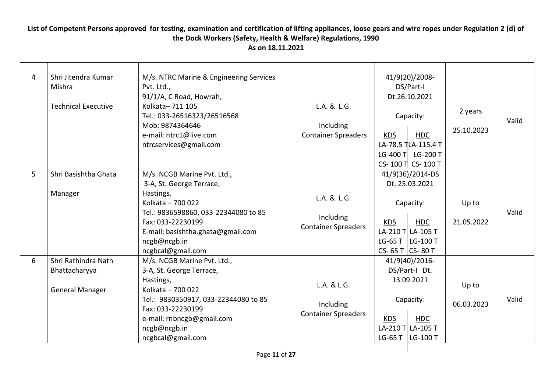| 4 | Shri Jitendra Kumar<br>Mishra<br><b>Technical Executive</b>    | M/s. NTRC Marine & Engineering Services<br>Pvt. Ltd.,<br>91/1/A, C Road, Howrah,<br>Kolkata-711 105<br>Tel.: 033-26516323/26516568<br>Mob: 9874364646<br>e-mail: ntrc1@live.com<br>ntrcservices@gmail.com                        | L.A. & L.G.<br>Including<br><b>Container Spreaders</b> | <b>KDS</b>                               | 41/9(20)/2008-<br>DS/Part-I<br>Dt.26.10.2021<br>Capacity:<br><b>HDC</b><br>LA-78.5 TLA-115.4 T<br>LG-400 T LG-200 T<br>CS-100 T CS-100 T | 2 years<br>25.10.2023 | Valid |
|---|----------------------------------------------------------------|----------------------------------------------------------------------------------------------------------------------------------------------------------------------------------------------------------------------------------|--------------------------------------------------------|------------------------------------------|------------------------------------------------------------------------------------------------------------------------------------------|-----------------------|-------|
| 5 | Shri Basishtha Ghata<br>Manager                                | M/s. NCGB Marine Pvt. Ltd.,<br>3-A, St. George Terrace,<br>Hastings,<br>Kolkata - 700 022<br>Tel.: 9836598860, 033-22344080 to 85<br>Fax: 033-22230199<br>E-mail: basishtha.ghata@gmail.com<br>ncgb@ncgb.in<br>ncgbcal@gmail.com | L.A. & L.G.<br>Including<br><b>Container Spreaders</b> | <b>KDS</b><br>LG-65 T<br>CS-65 T CS-80 T | 41/9(36)/2014-DS<br>Dt. 25.03.2021<br>Capacity:<br><b>HDC</b><br>LA-210 T LA-105 T<br>  LG-100 T                                         | Up to<br>21.05.2022   | Valid |
| 6 | Shri Rathindra Nath<br>Bhattacharyya<br><b>General Manager</b> | M/s. NCGB Marine Pvt. Ltd.,<br>3-A, St. George Terrace,<br>Hastings,<br>Kolkata - 700 022<br>Tel.: 9830350917, 033-22344080 to 85<br>Fax: 033-22230199<br>e-mail: rnbncgb@gmail.com<br>ncgb@ncgb.in<br>ncgbcal@gmail.com         | L.A. & L.G.<br>Including<br><b>Container Spreaders</b> | <b>KDS</b><br>LG-65 T                    | 41/9(40)/2016-<br>DS/Part-I Dt.<br>13.09.2021<br>Capacity:<br><b>HDC</b><br>LA-210 T LA-105 T<br>LG-100 T                                | Up to<br>06.03.2023   | Valid |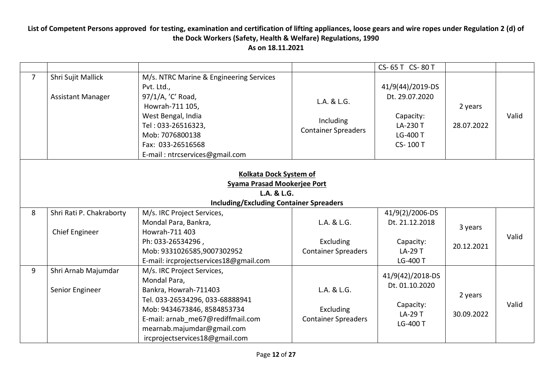|                |                                                                                                                        |                                                                                                                                                                                                                                            |                                                        | CS-65 T CS-80 T                                                                     |                       |       |  |  |  |
|----------------|------------------------------------------------------------------------------------------------------------------------|--------------------------------------------------------------------------------------------------------------------------------------------------------------------------------------------------------------------------------------------|--------------------------------------------------------|-------------------------------------------------------------------------------------|-----------------------|-------|--|--|--|
| $\overline{7}$ | Shri Sujit Mallick<br><b>Assistant Manager</b>                                                                         | M/s. NTRC Marine & Engineering Services<br>Pvt. Ltd.,<br>97/1/A, 'C' Road,<br>Howrah-711 105,<br>West Bengal, India<br>Tel: 033-26516323,<br>Mob: 7076800138<br>Fax: 033-26516568<br>E-mail: ntrcservices@gmail.com                        | L.A. & L.G.<br>Including<br><b>Container Spreaders</b> | 41/9(44)/2019-DS<br>Dt. 29.07.2020<br>Capacity:<br>LA-230 T<br>LG-400 T<br>CS-100 T | 2 years<br>28.07.2022 | Valid |  |  |  |
|                | Kolkata Dock System of<br>Syama Prasad Mookerjee Port<br>L.A. & L.G.<br><b>Including/Excluding Container Spreaders</b> |                                                                                                                                                                                                                                            |                                                        |                                                                                     |                       |       |  |  |  |
| 8              | Shri Rati P. Chakraborty                                                                                               | M/s. IRC Project Services,                                                                                                                                                                                                                 |                                                        | 41/9(2)/2006-DS                                                                     |                       |       |  |  |  |
|                | Chief Engineer                                                                                                         | Mondal Para, Bankra,<br>Howrah-711 403<br>Ph: 033-26534296,<br>Mob: 9331026585,9007302952<br>E-mail: ircprojectservices18@gmail.com                                                                                                        | L.A. & L.G.<br>Excluding<br><b>Container Spreaders</b> | Dt. 21.12.2018<br>Capacity:<br>LA-29 T<br>LG-400 T                                  | 3 years<br>20.12.2021 | Valid |  |  |  |
| 9              | Shri Arnab Majumdar<br>Senior Engineer                                                                                 | M/s. IRC Project Services,<br>Mondal Para,<br>Bankra, Howrah-711403<br>Tel. 033-26534296, 033-68888941<br>Mob: 9434673846, 8584853734<br>E-mail: arnab me67@rediffmail.com<br>mearnab.majumdar@gmail.com<br>ircprojectservices18@gmail.com | L.A. & L.G.<br>Excluding<br><b>Container Spreaders</b> | 41/9(42)/2018-DS<br>Dt. 01.10.2020<br>Capacity:<br><b>LA-29 T</b><br>LG-400 T       | 2 years<br>30.09.2022 | Valid |  |  |  |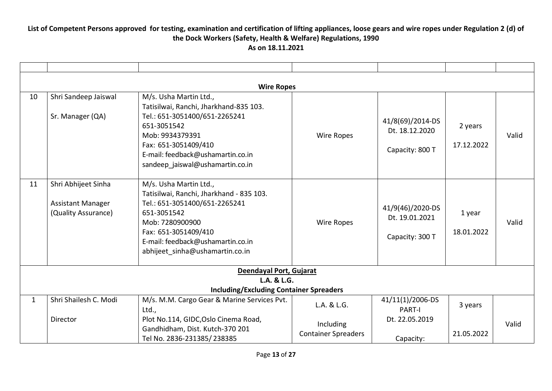|              | <b>Wire Ropes</b>                                                      |                                                                                                                                                                                                                                       |                                         |                                                       |                       |       |  |  |  |  |
|--------------|------------------------------------------------------------------------|---------------------------------------------------------------------------------------------------------------------------------------------------------------------------------------------------------------------------------------|-----------------------------------------|-------------------------------------------------------|-----------------------|-------|--|--|--|--|
| 10           | Shri Sandeep Jaiswal<br>Sr. Manager (QA)                               | M/s. Usha Martin Ltd.,<br>Tatisilwai, Ranchi, Jharkhand-835 103.<br>Tel.: 651-3051400/651-2265241<br>651-3051542<br>Mob: 9934379391<br>Fax: 651-3051409/410<br>E-mail: feedback@ushamartin.co.in<br>sandeep jaiswal@ushamartin.co.in  | Wire Ropes                              | 41/8(69)/2014-DS<br>Dt. 18.12.2020<br>Capacity: 800 T | 2 years<br>17.12.2022 | Valid |  |  |  |  |
| 11           | Shri Abhijeet Sinha<br><b>Assistant Manager</b><br>(Quality Assurance) | M/s. Usha Martin Ltd.,<br>Tatisilwai, Ranchi, Jharkhand - 835 103.<br>Tel.: 651-3051400/651-2265241<br>651-3051542<br>Mob: 7280900900<br>Fax: 651-3051409/410<br>E-mail: feedback@ushamartin.co.in<br>abhijeet sinha@ushamartin.co.in | Wire Ropes                              | 41/9(46)/2020-DS<br>Dt. 19.01.2021<br>Capacity: 300 T | 1 year<br>18.01.2022  | Valid |  |  |  |  |
|              |                                                                        | Deendayal Port, Gujarat                                                                                                                                                                                                               |                                         |                                                       |                       |       |  |  |  |  |
|              |                                                                        | L.A. & L.G.<br><b>Including/Excluding Container Spreaders</b>                                                                                                                                                                         |                                         |                                                       |                       |       |  |  |  |  |
| $\mathbf{1}$ | Shri Shailesh C. Modi                                                  | M/s. M.M. Cargo Gear & Marine Services Pvt.<br>Ltd.,                                                                                                                                                                                  | L.A. & L.G.                             | 41/11(1)/2006-DS<br><b>PART-I</b>                     | 3 years               |       |  |  |  |  |
|              | Director                                                               | Plot No.114, GIDC, Oslo Cinema Road,<br>Gandhidham, Dist. Kutch-370 201<br>Tel No. 2836-231385/238385                                                                                                                                 | Including<br><b>Container Spreaders</b> | Dt. 22.05.2019<br>Capacity:                           | 21.05.2022            | Valid |  |  |  |  |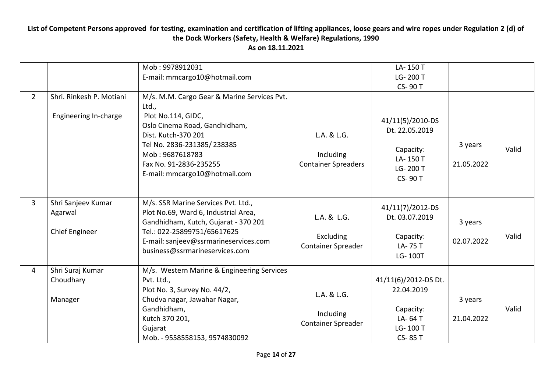|                |                                                        | Mob: 9978912031<br>E-mail: mmcargo10@hotmail.com                                                                                                                                                                                               |                                                        | LA-150 T<br>LG-200 T<br><b>CS-90T</b>                                                    |                       |       |
|----------------|--------------------------------------------------------|------------------------------------------------------------------------------------------------------------------------------------------------------------------------------------------------------------------------------------------------|--------------------------------------------------------|------------------------------------------------------------------------------------------|-----------------------|-------|
| $\overline{2}$ | Shri. Rinkesh P. Motiani<br>Engineering In-charge      | M/s. M.M. Cargo Gear & Marine Services Pvt.<br>Ltd.,<br>Plot No.114, GIDC,<br>Oslo Cinema Road, Gandhidham,<br>Dist. Kutch-370 201<br>Tel No. 2836-231385/238385<br>Mob: 9687618783<br>Fax No. 91-2836-235255<br>E-mail: mmcargo10@hotmail.com | L.A. & L.G.<br>Including<br><b>Container Spreaders</b> | 41/11(5)/2010-DS<br>Dt. 22.05.2019<br>Capacity:<br>LA-150 T<br>LG-200 T<br><b>CS-90T</b> | 3 years<br>21.05.2022 | Valid |
| 3              | Shri Sanjeev Kumar<br>Agarwal<br><b>Chief Engineer</b> | M/s. SSR Marine Services Pvt. Ltd.,<br>Plot No.69, Ward 6, Industrial Area,<br>Gandhidham, Kutch, Gujarat - 370 201<br>Tel.: 022-25899751/65617625<br>E-mail: sanjeev@ssrmarineservices.com<br>business@ssrmarineservices.com                  | L.A. & L.G.<br>Excluding<br>Container Spreader         | 41/11(7)/2012-DS<br>Dt. 03.07.2019<br>Capacity:<br>LA-75 T<br>LG-100T                    | 3 years<br>02.07.2022 | Valid |
| 4              | Shri Suraj Kumar<br>Choudhary<br>Manager               | M/s. Western Marine & Engineering Services<br>Pvt. Ltd.,<br>Plot No. 3, Survey No. 44/2,<br>Chudva nagar, Jawahar Nagar,<br>Gandhidham,<br>Kutch 370 201,<br>Gujarat<br>Mob. - 9558558153, 9574830092                                          | L.A. & L.G.<br>Including<br><b>Container Spreader</b>  | 41/11(6)/2012-DS Dt.<br>22.04.2019<br>Capacity:<br>LA-64 T<br>LG-100 T<br><b>CS-85 T</b> | 3 years<br>21.04.2022 | Valid |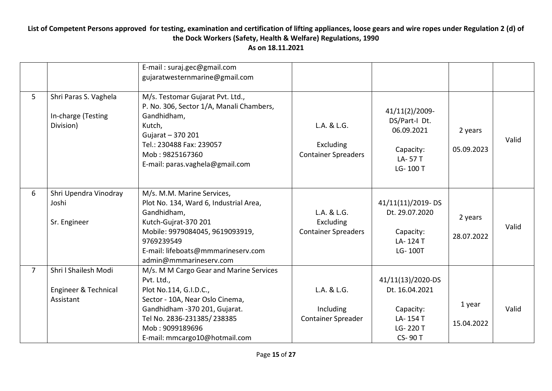|                |                                                           | E-mail: suraj.gec@gmail.com<br>gujaratwesternmarine@gmail.com                                                                                                                                                                         |                                                        |                                                                                           |                       |       |
|----------------|-----------------------------------------------------------|---------------------------------------------------------------------------------------------------------------------------------------------------------------------------------------------------------------------------------------|--------------------------------------------------------|-------------------------------------------------------------------------------------------|-----------------------|-------|
| 5              | Shri Paras S. Vaghela<br>In-charge (Testing<br>Division)  | M/s. Testomar Gujarat Pvt. Ltd.,<br>P. No. 306, Sector 1/A, Manali Chambers,<br>Gandhidham,<br>Kutch,<br>Gujarat - 370 201<br>Tel.: 230488 Fax: 239057<br>Mob: 9825167360<br>E-mail: paras.vaghela@gmail.com                          | L.A. & L.G.<br>Excluding<br><b>Container Spreaders</b> | 41/11(2)/2009-<br>DS/Part-I Dt.<br>06.09.2021<br>Capacity:<br>LA-57T<br>LG-100 T          | 2 years<br>05.09.2023 | Valid |
| 6              | Shri Upendra Vinodray<br>Joshi<br>Sr. Engineer            | M/s. M.M. Marine Services,<br>Plot No. 134, Ward 6, Industrial Area,<br>Gandhidham,<br>Kutch-Gujrat-370 201<br>Mobile: 9979084045, 9619093919,<br>9769239549<br>E-mail: lifeboats@mmmarineserv.com<br>admin@mmmarineserv.com          | L.A. & L.G.<br>Excluding<br><b>Container Spreaders</b> | 41/11(11)/2019-DS<br>Dt. 29.07.2020<br>Capacity:<br>LA-124 T<br>LG-100T                   | 2 years<br>28.07.2022 | Valid |
| $\overline{7}$ | Shri I Shailesh Modi<br>Engineer & Technical<br>Assistant | M/s. M M Cargo Gear and Marine Services<br>Pvt. Ltd.,<br>Plot No.114, G.I.D.C.,<br>Sector - 10A, Near Oslo Cinema,<br>Gandhidham -370 201, Gujarat.<br>Tel No. 2836-231385/238385<br>Mob: 9099189696<br>E-mail: mmcargo10@hotmail.com | L.A. & L.G.<br>Including<br><b>Container Spreader</b>  | 41/11(13)/2020-DS<br>Dt. 16.04.2021<br>Capacity:<br>LA-154 T<br>LG-220 T<br><b>CS-90T</b> | 1 year<br>15.04.2022  | Valid |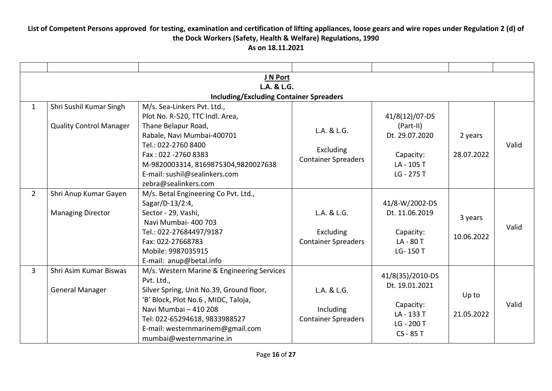|                |                                                           | J N Port                                                                                                                                                                                                                                                             |                                                        |                                                                                      |                       |       |  |  |  |
|----------------|-----------------------------------------------------------|----------------------------------------------------------------------------------------------------------------------------------------------------------------------------------------------------------------------------------------------------------------------|--------------------------------------------------------|--------------------------------------------------------------------------------------|-----------------------|-------|--|--|--|
|                | L.A. & L.G.                                               |                                                                                                                                                                                                                                                                      |                                                        |                                                                                      |                       |       |  |  |  |
|                |                                                           | <b>Including/Excluding Container Spreaders</b>                                                                                                                                                                                                                       |                                                        |                                                                                      |                       |       |  |  |  |
| $\mathbf{1}$   | Shri Sushil Kumar Singh<br><b>Quality Control Manager</b> | M/s. Sea-Linkers Pvt. Ltd.,<br>Plot No. R-520, TTC Indl. Area,<br>Thane Belapur Road,<br>Rabale, Navi Mumbai-400701                                                                                                                                                  | L.A. & L.G.                                            | 41/8(12)/07-DS<br>(Part-II)<br>Dt. 29.07.2020                                        | 2 years               |       |  |  |  |
|                |                                                           | Tel.: 022-2760 8400<br>Fax: 022 - 2760 8383<br>M-9820003314, 8169875304,9820027638<br>E-mail: sushil@sealinkers.com<br>zebra@sealinkers.com                                                                                                                          | Excluding<br><b>Container Spreaders</b>                | Capacity:<br>LA-105 T<br>LG - 275 T                                                  | 28.07.2022            | Valid |  |  |  |
| $\overline{2}$ | Shri Anup Kumar Gayen<br><b>Managing Director</b>         | M/s. Betal Engineering Co Pvt. Ltd.,<br>Sagar/D-13/2:4,<br>Sector - 29, Vashi,<br>Navi Mumbai- 400 703<br>Tel.: 022-27684497/9187<br>Fax: 022-27668783<br>Mobile: 9987035915<br>E-mail: anup@betal.info                                                              | L.A. & L.G.<br>Excluding<br><b>Container Spreaders</b> | 41/8-W/2002-DS<br>Dt. 11.06.2019<br>Capacity:<br>LA-80T<br>LG-150 T                  | 3 years<br>10.06.2022 | Valid |  |  |  |
| $\overline{3}$ | Shri Asim Kumar Biswas<br><b>General Manager</b>          | M/s. Western Marine & Engineering Services<br>Pvt. Ltd.,<br>Silver Spring, Unit No.39, Ground floor,<br>'B' Block, Plot No.6, MIDC, Taloja,<br>Navi Mumbai - 410 208<br>Tel: 022-65294618, 9833988527<br>E-mail: westernmarinem@gmail.com<br>mumbai@westernmarine.in | L.A. & L.G.<br>Including<br><b>Container Spreaders</b> | 41/8(35)/2010-DS<br>Dt. 19.01.2021<br>Capacity:<br>LA-133 T<br>LG - 200 T<br>CS-85 T | Up to<br>21.05.2022   | Valid |  |  |  |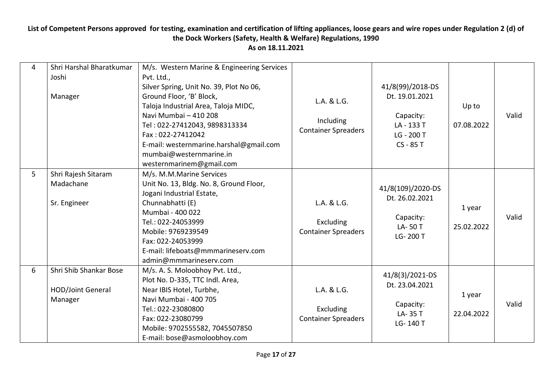| 4              | Shri Harshal Bharatkumar<br>Joshi<br>Manager                  | M/s. Western Marine & Engineering Services<br>Pvt. Ltd.,<br>Silver Spring, Unit No. 39, Plot No 06,<br>Ground Floor, 'B' Block,<br>Taloja Industrial Area, Taloja MIDC,<br>Navi Mumbai - 410 208<br>Tel: 022-27412043, 9898313334<br>Fax: 022-27412042<br>E-mail: westernmarine.harshal@gmail.com<br>mumbai@westernmarine.in<br>westernmarinem@gmail.com | L.A. & L.G.<br>Including<br><b>Container Spreaders</b> | 41/8(99)/2018-DS<br>Dt. 19.01.2021<br>Capacity:<br>LA-133 T<br>LG - 200 T<br>CS - 85 T | Up to<br>07.08.2022  | Valid |
|----------------|---------------------------------------------------------------|----------------------------------------------------------------------------------------------------------------------------------------------------------------------------------------------------------------------------------------------------------------------------------------------------------------------------------------------------------|--------------------------------------------------------|----------------------------------------------------------------------------------------|----------------------|-------|
| 5 <sup>1</sup> | Shri Rajesh Sitaram<br>Madachane<br>Sr. Engineer              | M/s. M.M.Marine Services<br>Unit No. 13, Bldg. No. 8, Ground Floor,<br>Jogani Industrial Estate,<br>Chunnabhatti (E)<br>Mumbai - 400 022<br>Tel.: 022-24053999<br>Mobile: 9769239549<br>Fax: 022-24053999<br>E-mail: lifeboats@mmmarineserv.com<br>admin@mmmarineserv.com                                                                                | L.A. & L.G.<br>Excluding<br><b>Container Spreaders</b> | 41/8(109)/2020-DS<br>Dt. 26.02.2021<br>Capacity:<br>LA-50T<br>LG-200 T                 | 1 year<br>25.02.2022 | Valid |
| 6              | Shri Shib Shankar Bose<br><b>HOD/Joint General</b><br>Manager | M/s. A. S. Moloobhoy Pvt. Ltd.,<br>Plot No. D-335, TTC Indl. Area,<br>Near IBIS Hotel, Turbhe,<br>Navi Mumbai - 400 705<br>Tel.: 022-23080800<br>Fax: 022-23080799<br>Mobile: 9702555582, 7045507850<br>E-mail: bose@asmoloobhoy.com                                                                                                                     | L.A. & L.G.<br>Excluding<br><b>Container Spreaders</b> | 41/8(3)/2021-DS<br>Dt. 23.04.2021<br>Capacity:<br>LA-35 T<br>LG-140 T                  | 1 year<br>22.04.2022 | Valid |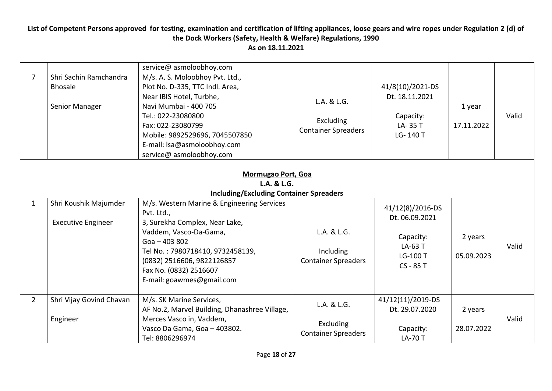|                |                                                                                     | service@ asmoloobhoy.com                                                                                                                                                                                                                                        |                                                        |                                                                                     |                       |       |  |  |  |
|----------------|-------------------------------------------------------------------------------------|-----------------------------------------------------------------------------------------------------------------------------------------------------------------------------------------------------------------------------------------------------------------|--------------------------------------------------------|-------------------------------------------------------------------------------------|-----------------------|-------|--|--|--|
| $\overline{7}$ | Shri Sachin Ramchandra<br><b>Bhosale</b><br>Senior Manager                          | M/s. A. S. Moloobhoy Pvt. Ltd.,<br>Plot No. D-335, TTC Indl. Area,<br>Near IBIS Hotel, Turbhe,<br>Navi Mumbai - 400 705<br>Tel.: 022-23080800<br>Fax: 022-23080799<br>Mobile: 9892529696, 7045507850<br>E-mail: Isa@asmoloobhoy.com<br>service@ asmoloobhoy.com | L.A. & L.G.<br>Excluding<br><b>Container Spreaders</b> | 41/8(10)/2021-DS<br>Dt. 18.11.2021<br>Capacity:<br>LA-35 T<br>LG-140 T              | 1 year<br>17.11.2022  | Valid |  |  |  |
|                | Mormugao Port, Goa<br>L.A. & L.G.<br><b>Including/Excluding Container Spreaders</b> |                                                                                                                                                                                                                                                                 |                                                        |                                                                                     |                       |       |  |  |  |
| $\mathbf{1}$   | Shri Koushik Majumder<br><b>Executive Engineer</b>                                  | M/s. Western Marine & Engineering Services<br>Pvt. Ltd.,<br>3, Surekha Complex, Near Lake,<br>Vaddem, Vasco-Da-Gama,<br>$Goa - 403802$<br>Tel No.: 7980718410, 9732458139,<br>(0832) 2516606, 9822126857<br>Fax No. (0832) 2516607<br>E-mail: goawmes@gmail.com | L.A. & L.G.<br>Including<br><b>Container Spreaders</b> | 41/12(8)/2016-DS<br>Dt. 06.09.2021<br>Capacity:<br>LA-63 T<br>LG-100 T<br>CS - 85 T | 2 years<br>05.09.2023 | Valid |  |  |  |
| $\overline{2}$ | Shri Vijay Govind Chavan<br>Engineer                                                | M/s. SK Marine Services,<br>AF No.2, Marvel Building, Dhanashree Village,<br>Merces Vasco in, Vaddem,<br>Vasco Da Gama, Goa - 403802.<br>Tel: 8806296974                                                                                                        | L.A. & L.G.<br>Excluding<br><b>Container Spreaders</b> | 41/12(11)/2019-DS<br>Dt. 29.07.2020<br>Capacity:<br><b>LA-70 T</b>                  | 2 years<br>28.07.2022 | Valid |  |  |  |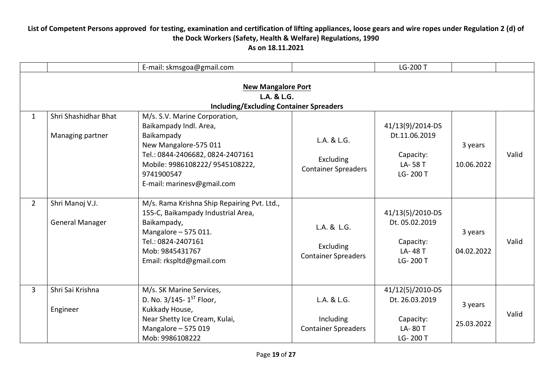|                |                                                                                            | E-mail: skmsgoa@gmail.com                                                                                                                                                                                         |                                                        | LG-200 T                                                               |                       |       |  |  |  |
|----------------|--------------------------------------------------------------------------------------------|-------------------------------------------------------------------------------------------------------------------------------------------------------------------------------------------------------------------|--------------------------------------------------------|------------------------------------------------------------------------|-----------------------|-------|--|--|--|
|                | <b>New Mangalore Port</b><br>L.A. & L.G.<br><b>Including/Excluding Container Spreaders</b> |                                                                                                                                                                                                                   |                                                        |                                                                        |                       |       |  |  |  |
| $\mathbf{1}$   | Shri Shashidhar Bhat<br>Managing partner                                                   | M/s. S.V. Marine Corporation,<br>Baikampady Indl. Area,<br>Baikampady<br>New Mangalore-575 011<br>Tel.: 0844-2406682, 0824-2407161<br>Mobile: 9986108222/ 9545108222,<br>9741900547<br>E-mail: marinesv@gmail.com | L.A. & L.G.<br>Excluding<br><b>Container Spreaders</b> | 41/13(9)/2014-DS<br>Dt.11.06.2019<br>Capacity:<br>LA-58 T<br>LG-200 T  | 3 years<br>10.06.2022 | Valid |  |  |  |
| $2^{\circ}$    | Shri Manoj V.J.<br><b>General Manager</b>                                                  | M/s. Rama Krishna Ship Repairing Pvt. Ltd.,<br>155-C, Baikampady Industrial Area,<br>Baikampady,<br>Mangalore - 575 011.<br>Tel.: 0824-2407161<br>Mob: 9845431767<br>Email: rkspltd@gmail.com                     | L.A. & L.G.<br>Excluding<br><b>Container Spreaders</b> | 41/13(5)/2010-DS<br>Dt. 05.02.2019<br>Capacity:<br>LA-48 T<br>LG-200 T | 3 years<br>04.02.2022 | Valid |  |  |  |
| $\overline{3}$ | Shri Sai Krishna<br>Engineer                                                               | M/s. SK Marine Services,<br>D. No. $3/145 - 1^{ST}$ Floor,<br>Kukkady House,<br>Near Shetty Ice Cream, Kulai,<br>Mangalore - 575 019<br>Mob: 9986108222                                                           | L.A. & L.G.<br>Including<br><b>Container Spreaders</b> | 41/12(5)/2010-DS<br>Dt. 26.03.2019<br>Capacity:<br>LA-80 T<br>LG-200 T | 3 years<br>25.03.2022 | Valid |  |  |  |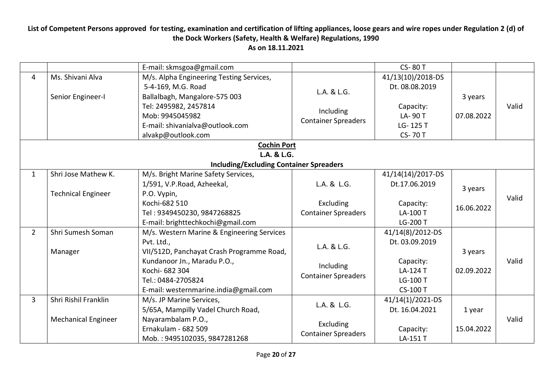|                |                                                    | E-mail: skmsgoa@gmail.com                                                                                                                                                                                             |                                                        | <b>CS-80 T</b>                                                                             |                       |       |  |  |  |
|----------------|----------------------------------------------------|-----------------------------------------------------------------------------------------------------------------------------------------------------------------------------------------------------------------------|--------------------------------------------------------|--------------------------------------------------------------------------------------------|-----------------------|-------|--|--|--|
| $\overline{4}$ | Ms. Shivani Alva<br>Senior Engineer-I              | M/s. Alpha Engineering Testing Services,<br>5-4-169, M.G. Road<br>Ballalbagh, Mangalore-575 003<br>Tel: 2495982, 2457814<br>Mob: 9945045982<br>E-mail: shivanialva@outlook.com<br>alvakp@outlook.com                  | L.A. & L.G.<br>Including<br><b>Container Spreaders</b> | 41/13(10)/2018-DS<br>Dt. 08.08.2019<br>Capacity:<br>LA-90 T<br>LG-125 T<br><b>CS-70T</b>   | 3 years<br>07.08.2022 | Valid |  |  |  |
|                |                                                    | <b>Cochin Port</b>                                                                                                                                                                                                    |                                                        |                                                                                            |                       |       |  |  |  |
|                | L.A. & L.G.                                        |                                                                                                                                                                                                                       |                                                        |                                                                                            |                       |       |  |  |  |
|                |                                                    | <b>Including/Excluding Container Spreaders</b>                                                                                                                                                                        |                                                        |                                                                                            |                       |       |  |  |  |
| $\mathbf{1}$   | Shri Jose Mathew K.<br><b>Technical Engineer</b>   | M/s. Bright Marine Safety Services,<br>1/591, V.P.Road, Azheekal,<br>P.O. Vypin,                                                                                                                                      | L.A. & L.G.                                            | 41/14(14)/2017-DS<br>Dt.17.06.2019                                                         | 3 years               |       |  |  |  |
|                |                                                    | Kochi-682 510<br>Tel: 9349450230, 9847268825<br>E-mail: brighttechkochi@gmail.com                                                                                                                                     | Excluding<br><b>Container Spreaders</b>                | Capacity:<br>LA-100 T<br>LG-200 T                                                          | 16.06.2022            | Valid |  |  |  |
| $\overline{2}$ | Shri Sumesh Soman<br>Manager                       | M/s. Western Marine & Engineering Services<br>Pvt. Ltd.,<br>VII/512D, Panchayat Crash Programme Road,<br>Kundanoor Jn., Maradu P.O.,<br>Kochi- 682 304<br>Tel.: 0484-2705824<br>E-mail: westernmarine.india@gmail.com | L.A. & L.G.<br>Including<br><b>Container Spreaders</b> | 41/14(8)/2012-DS<br>Dt. 03.09.2019<br>Capacity:<br>LA-124 T<br>LG-100 T<br><b>CS-100 T</b> | 3 years<br>02.09.2022 | Valid |  |  |  |
| $\overline{3}$ | Shri Rishil Franklin<br><b>Mechanical Engineer</b> | M/s. JP Marine Services,<br>5/65A, Mampilly Vadel Church Road,<br>Nayarambalam P.O.,<br>Ernakulam - 682 509<br>Mob.: 9495102035, 9847281268                                                                           | L.A. & L.G.<br>Excluding<br><b>Container Spreaders</b> | 41/14(1)/2021-DS<br>Dt. 16.04.2021<br>Capacity:<br>LA-151 T                                | 1 year<br>15.04.2022  | Valid |  |  |  |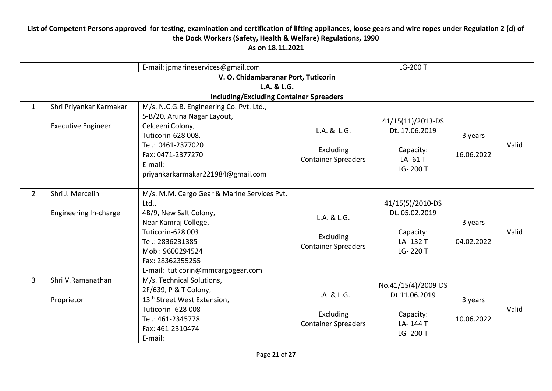|                |                                                      | E-mail: jpmarineservices@gmail.com                                                                                                                                                                                          |                                                        | LG-200 T                                                                  |                       |       |  |  |  |  |
|----------------|------------------------------------------------------|-----------------------------------------------------------------------------------------------------------------------------------------------------------------------------------------------------------------------------|--------------------------------------------------------|---------------------------------------------------------------------------|-----------------------|-------|--|--|--|--|
|                | V. O. Chidambaranar Port, Tuticorin                  |                                                                                                                                                                                                                             |                                                        |                                                                           |                       |       |  |  |  |  |
|                | L.A. & L.G.                                          |                                                                                                                                                                                                                             |                                                        |                                                                           |                       |       |  |  |  |  |
|                |                                                      | <b>Including/Excluding Container Spreaders</b>                                                                                                                                                                              |                                                        |                                                                           |                       |       |  |  |  |  |
| $\mathbf{1}$   | Shri Priyankar Karmakar<br><b>Executive Engineer</b> | M/s. N.C.G.B. Engineering Co. Pvt. Ltd.,<br>5-B/20, Aruna Nagar Layout,<br>Celceeni Colony,<br>Tuticorin-628 008.<br>Tel.: 0461-2377020<br>Fax: 0471-2377270<br>E-mail:<br>priyankarkarmakar221984@gmail.com                | L.A. & L.G.<br>Excluding<br><b>Container Spreaders</b> | 41/15(11)/2013-DS<br>Dt. 17.06.2019<br>Capacity:<br>LA-61T<br>LG-200 T    | 3 years<br>16.06.2022 | Valid |  |  |  |  |
| $\overline{2}$ | Shri J. Mercelin<br>Engineering In-charge            | M/s. M.M. Cargo Gear & Marine Services Pvt.<br>Ltd.,<br>4B/9, New Salt Colony,<br>Near Kamraj College,<br>Tuticorin-628 003<br>Tel.: 2836231385<br>Mob: 9600294524<br>Fax: 28362355255<br>E-mail: tuticorin@mmcargogear.com | L.A. & L.G.<br>Excluding<br><b>Container Spreaders</b> | 41/15(5)/2010-DS<br>Dt. 05.02.2019<br>Capacity:<br>LA-132 T<br>LG-220 T   | 3 years<br>04.02.2022 | Valid |  |  |  |  |
| 3              | Shri V.Ramanathan<br>Proprietor                      | M/s. Technical Solutions,<br>2F/639, P & T Colony,<br>13 <sup>th</sup> Street West Extension,<br>Tuticorin -628 008<br>Tel.: 461-2345778<br>Fax: 461-2310474<br>E-mail:                                                     | L.A. & L.G.<br>Excluding<br><b>Container Spreaders</b> | No.41/15(4)/2009-DS<br>Dt.11.06.2019<br>Capacity:<br>LA-144 T<br>LG-200 T | 3 years<br>10.06.2022 | Valid |  |  |  |  |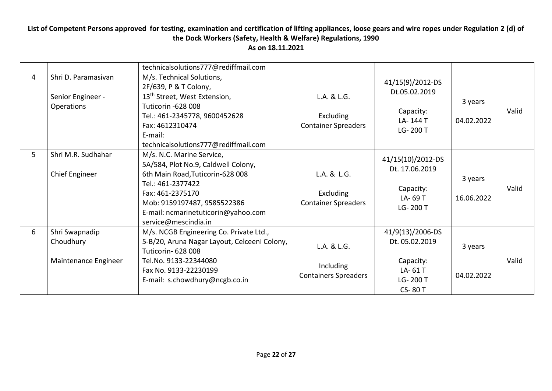|   |                                                        | technicalsolutions777@rediffmail.com                                                                                                                                                                                                        |                                                         |                                                                                         |                       |       |
|---|--------------------------------------------------------|---------------------------------------------------------------------------------------------------------------------------------------------------------------------------------------------------------------------------------------------|---------------------------------------------------------|-----------------------------------------------------------------------------------------|-----------------------|-------|
| 4 | Shri D. Paramasivan<br>Senior Engineer -<br>Operations | M/s. Technical Solutions,<br>2F/639, P & T Colony,<br>13 <sup>th</sup> Street, West Extension,<br>Tuticorin -628 008<br>Tel.: 461-2345778, 9600452628<br>Fax: 4612310474<br>E-mail:<br>technicalsolutions777@rediffmail.com                 | L.A. & L.G.<br>Excluding<br><b>Container Spreaders</b>  | 41/15(9)/2012-DS<br>Dt.05.02.2019<br>Capacity:<br>LA-144 T<br>LG-200 T                  | 3 years<br>04.02.2022 | Valid |
| 5 | Shri M.R. Sudhahar<br>Chief Engineer                   | M/s. N.C. Marine Service,<br>5A/584, Plot No.9, Caldwell Colony,<br>6th Main Road, Tuticorin-628 008<br>Tel.: 461-2377422<br>Fax: 461-2375170<br>Mob: 9159197487, 9585522386<br>E-mail: ncmarinetuticorin@yahoo.com<br>service@mescindia.in | L.A. & L.G.<br>Excluding<br><b>Container Spreaders</b>  | 41/15(10)/2012-DS<br>Dt. 17.06.2019<br>Capacity:<br>LA-69 T<br>LG-200 T                 | 3 years<br>16.06.2022 | Valid |
| 6 | Shri Swapnadip<br>Choudhury<br>Maintenance Engineer    | M/s. NCGB Engineering Co. Private Ltd.,<br>5-B/20, Aruna Nagar Layout, Celceeni Colony,<br><b>Tuticorin- 628 008</b><br>Tel.No. 9133-22344080<br>Fax No. 9133-22230199<br>E-mail: s.chowdhury@ncgb.co.in                                    | L.A. & L.G.<br>Including<br><b>Containers Spreaders</b> | 41/9(13)/2006-DS<br>Dt. 05.02.2019<br>Capacity:<br>LA-61T<br>LG-200 T<br><b>CS-80 T</b> | 3 years<br>04.02.2022 | Valid |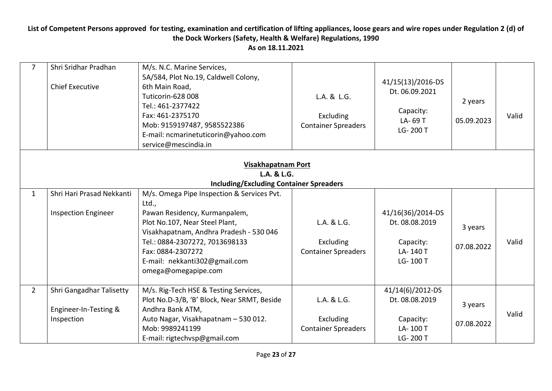| $\overline{7}$                    | Shri Sridhar Pradhan<br><b>Chief Executive</b>                  | M/s. N.C. Marine Services,<br>5A/584, Plot No.19, Caldwell Colony,<br>6th Main Road,<br>Tuticorin-628 008<br>Tel.: 461-2377422<br>Fax: 461-2375170<br>Mob: 9159197487, 9585522386<br>E-mail: ncmarinetuticorin@yahoo.com<br>service@mescindia.in | L.A. & L.G.<br>Excluding<br><b>Container Spreaders</b> | 41/15(13)/2016-DS<br>Dt. 06.09.2021<br>Capacity:<br>LA-69 T<br>LG-200 T  | 2 years<br>05.09.2023 | Valid |  |  |
|-----------------------------------|-----------------------------------------------------------------|--------------------------------------------------------------------------------------------------------------------------------------------------------------------------------------------------------------------------------------------------|--------------------------------------------------------|--------------------------------------------------------------------------|-----------------------|-------|--|--|
| Visakhapatnam Port<br>L.A. & L.G. |                                                                 |                                                                                                                                                                                                                                                  |                                                        |                                                                          |                       |       |  |  |
|                                   |                                                                 | <b>Including/Excluding Container Spreaders</b>                                                                                                                                                                                                   |                                                        |                                                                          |                       |       |  |  |
| $\mathbf{1}$                      | Shri Hari Prasad Nekkanti                                       | M/s. Omega Pipe Inspection & Services Pvt.                                                                                                                                                                                                       |                                                        |                                                                          |                       |       |  |  |
|                                   | <b>Inspection Engineer</b>                                      | Ltd.,<br>Pawan Residency, Kurmanpalem,<br>Plot No.107, Near Steel Plant,<br>Visakhapatnam, Andhra Pradesh - 530 046<br>Tel.: 0884-2307272, 7013698133<br>Fax: 0884-2307272<br>E-mail: nekkanti302@gmail.com<br>omega@omegapipe.com               | L.A. & L.G.<br>Excluding<br><b>Container Spreaders</b> | 41/16(36)/2014-DS<br>Dt. 08.08.2019<br>Capacity:<br>LA-140 T<br>LG-100 T | 3 years<br>07.08.2022 | Valid |  |  |
| $\overline{2}$                    | Shri Gangadhar Talisetty<br>Engineer-In-Testing &<br>Inspection | M/s. Rig-Tech HSE & Testing Services,<br>Plot No.D-3/B, 'B' Block, Near SRMT, Beside<br>Andhra Bank ATM,<br>Auto Nagar, Visakhapatnam - 530 012.<br>Mob: 9989241199<br>E-mail: rigtechvsp@gmail.com                                              | L.A. & L.G.<br>Excluding<br><b>Container Spreaders</b> | 41/14(6)/2012-DS<br>Dt. 08.08.2019<br>Capacity:<br>LA-100 T<br>LG-200 T  | 3 years<br>07.08.2022 | Valid |  |  |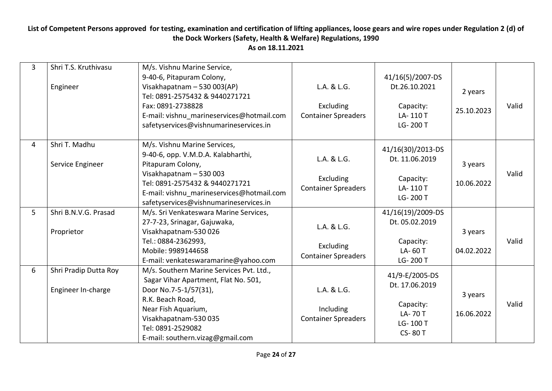| $\overline{3}$ | Shri T.S. Kruthivasu<br>Engineer            | M/s. Vishnu Marine Service,<br>9-40-6, Pitapuram Colony,<br>Visakhapatnam - 530 003(AP)<br>Tel: 0891-2575432 & 9440271721<br>Fax: 0891-2738828<br>E-mail: vishnu_marineservices@hotmail.com<br>safetyservices@vishnumarineservices.in       | L.A. & L.G.<br>Excluding<br><b>Container Spreaders</b> | 41/16(5)/2007-DS<br>Dt.26.10.2021<br>Capacity:<br>LA-110T<br>LG-200 T                 | 2 years<br>25.10.2023 | Valid |
|----------------|---------------------------------------------|---------------------------------------------------------------------------------------------------------------------------------------------------------------------------------------------------------------------------------------------|--------------------------------------------------------|---------------------------------------------------------------------------------------|-----------------------|-------|
| 4              | Shri T. Madhu<br>Service Engineer           | M/s. Vishnu Marine Services,<br>9-40-6, opp. V.M.D.A. Kalabharthi,<br>Pitapuram Colony,<br>Visakhapatnam - 530 003<br>Tel: 0891-2575432 & 9440271721<br>E-mail: vishnu marineservices@hotmail.com<br>safetyservices@vishnumarineservices.in | L.A. & L.G.<br>Excluding<br><b>Container Spreaders</b> | 41/16(30)/2013-DS<br>Dt. 11.06.2019<br>Capacity:<br>LA-110T<br>LG-200 T               | 3 years<br>10.06.2022 | Valid |
| 5              | Shri B.N.V.G. Prasad<br>Proprietor          | M/s. Sri Venkateswara Marine Services,<br>27-7-23, Srinagar, Gajuwaka,<br>Visakhapatnam-530 026<br>Tel.: 0884-2362993,<br>Mobile: 9989144658<br>E-mail: venkateswaramarine@yahoo.com                                                        | L.A. & L.G.<br>Excluding<br><b>Container Spreaders</b> | 41/16(19)/2009-DS<br>Dt. 05.02.2019<br>Capacity:<br>LA-60 T<br>LG-200 T               | 3 years<br>04.02.2022 | Valid |
| 6              | Shri Pradip Dutta Roy<br>Engineer In-charge | M/s. Southern Marine Services Pvt. Ltd.,<br>Sagar Vihar Apartment, Flat No. 501,<br>Door No.7-5-1/57(31),<br>R.K. Beach Road,<br>Near Fish Aquarium,<br>Visakhapatnam-530 035<br>Tel: 0891-2529082<br>E-mail: southern.vizag@gmail.com      | L.A. & L.G.<br>Including<br><b>Container Spreaders</b> | 41/9-E/2005-DS<br>Dt. 17.06.2019<br>Capacity:<br>LA-70T<br>LG-100 T<br><b>CS-80 T</b> | 3 years<br>16.06.2022 | Valid |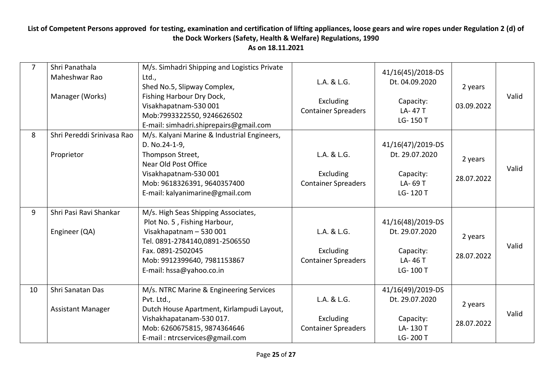| $\overline{7}$ | Shri Panathala<br>Maheshwar Rao<br>Manager (Works) | M/s. Simhadri Shipping and Logistics Private<br>Ltd.,<br>Shed No.5, Slipway Complex,<br>Fishing Harbour Dry Dock,<br>Visakhapatnam-530 001<br>Mob:7993322550, 9246626502<br>E-mail: simhadri.shiprepairs@gmail.com | L.A. & L.G.<br>Excluding<br><b>Container Spreaders</b> | 41/16(45)/2018-DS<br>Dt. 04.09.2020<br>Capacity:<br>LA-47T<br>LG-150 T   | 2 years<br>03.09.2022 | Valid |
|----------------|----------------------------------------------------|--------------------------------------------------------------------------------------------------------------------------------------------------------------------------------------------------------------------|--------------------------------------------------------|--------------------------------------------------------------------------|-----------------------|-------|
| 8              | Shri Pereddi Srinivasa Rao<br>Proprietor           | M/s. Kalyani Marine & Industrial Engineers,<br>D. No.24-1-9,<br>Thompson Street,<br>Near Old Post Office<br>Visakhapatnam-530 001<br>Mob: 9618326391, 9640357400<br>E-mail: kalyanimarine@gmail.com                | L.A. & L.G.<br>Excluding<br><b>Container Spreaders</b> | 41/16(47)/2019-DS<br>Dt. 29.07.2020<br>Capacity:<br>LA-69 T<br>LG-120 T  | 2 years<br>28.07.2022 | Valid |
| 9              | Shri Pasi Ravi Shankar<br>Engineer (QA)            | M/s. High Seas Shipping Associates,<br>Plot No. 5, Fishing Harbour,<br>Visakhapatnam - 530 001<br>Tel. 0891-2784140,0891-2506550<br>Fax. 0891-2502045<br>Mob: 9912399640, 7981153867<br>E-mail: hssa@yahoo.co.in   | L.A. & L.G.<br>Excluding<br><b>Container Spreaders</b> | 41/16(48)/2019-DS<br>Dt. 29.07.2020<br>Capacity:<br>LA-46 T<br>LG-100T   | 2 years<br>28.07.2022 | Valid |
| 10             | Shri Sanatan Das<br><b>Assistant Manager</b>       | M/s. NTRC Marine & Engineering Services<br>Pvt. Ltd.,<br>Dutch House Apartment, Kirlampudi Layout,<br>Vishakhapatanam-530 017.<br>Mob: 6260675815, 9874364646<br>E-mail: ntrcservices@gmail.com                    | L.A. & L.G.<br>Excluding<br><b>Container Spreaders</b> | 41/16(49)/2019-DS<br>Dt. 29.07.2020<br>Capacity:<br>LA-130 T<br>LG-200 T | 2 years<br>28.07.2022 | Valid |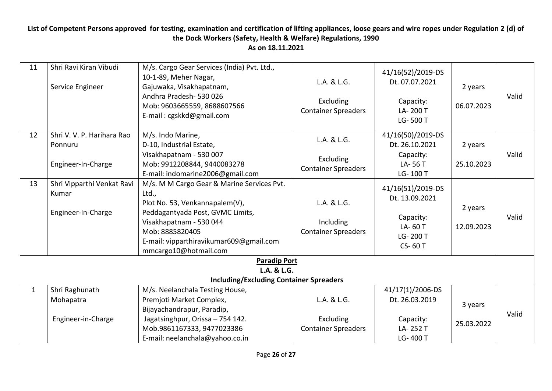| 11                                                            | Shri Ravi Kiran Vibudi<br>Service Engineer                  | M/s. Cargo Gear Services (India) Pvt. Ltd.,<br>10-1-89, Meher Nagar,<br>Gajuwaka, Visakhapatnam,<br>Andhra Pradesh-530026<br>Mob: 9603665559, 8688607566<br>E-mail: cgskkd@gmail.com                                                        | L.A. & L.G.<br>Excluding<br><b>Container Spreaders</b> | 41/16(52)/2019-DS<br>Dt. 07.07.2021<br>Capacity:<br>LA-200 T<br>LG-500 T           | 2 years<br>06.07.2023 | Valid |  |
|---------------------------------------------------------------|-------------------------------------------------------------|---------------------------------------------------------------------------------------------------------------------------------------------------------------------------------------------------------------------------------------------|--------------------------------------------------------|------------------------------------------------------------------------------------|-----------------------|-------|--|
| 12                                                            | Shri V. V. P. Harihara Rao<br>Ponnuru<br>Engineer-In-Charge | M/s. Indo Marine,<br>D-10, Industrial Estate,<br>Visakhapatnam - 530 007<br>Mob: 9912208844, 9440083278<br>E-mail: indomarine2006@gmail.com                                                                                                 | L.A. & L.G.<br>Excluding<br><b>Container Spreaders</b> | 41/16(50)/2019-DS<br>Dt. 26.10.2021<br>Capacity:<br>LA-56 T<br>LG-100 T            | 2 years<br>25.10.2023 | Valid |  |
| 13                                                            | Shri Vipparthi Venkat Ravi<br>Kumar<br>Engineer-In-Charge   | M/s. M M Cargo Gear & Marine Services Pvt.<br>Ltd.,<br>Plot No. 53, Venkannapalem(V),<br>Peddagantyada Post, GVMC Limits,<br>Visakhapatnam - 530 044<br>Mob: 8885820405<br>E-mail: vipparthiravikumar609@gmail.com<br>mmcargo10@hotmail.com | L.A. & L.G.<br>Including<br><b>Container Spreaders</b> | 41/16(51)/2019-DS<br>Dt. 13.09.2021<br>Capacity:<br>LA-60 T<br>LG-200 T<br>CS-60 T | 2 years<br>12.09.2023 | Valid |  |
| <b>Paradip Port</b>                                           |                                                             |                                                                                                                                                                                                                                             |                                                        |                                                                                    |                       |       |  |
| L.A. & L.G.<br><b>Including/Excluding Container Spreaders</b> |                                                             |                                                                                                                                                                                                                                             |                                                        |                                                                                    |                       |       |  |
| $\mathbf{1}$                                                  | Shri Raghunath<br>Mohapatra                                 | M/s. Neelanchala Testing House,<br>Premjoti Market Complex,<br>Bijayachandrapur, Paradip,                                                                                                                                                   | L.A. & L.G.                                            | 41/17(1)/2006-DS<br>Dt. 26.03.2019                                                 | 3 years               | Valid |  |
|                                                               | Engineer-in-Charge                                          | Jagatsinghpur, Orissa - 754 142.<br>Mob.9861167333, 9477023386<br>E-mail: neelanchala@yahoo.co.in                                                                                                                                           | Excluding<br><b>Container Spreaders</b>                | Capacity:<br>LA-252 T<br>LG-400 T                                                  | 25.03.2022            |       |  |